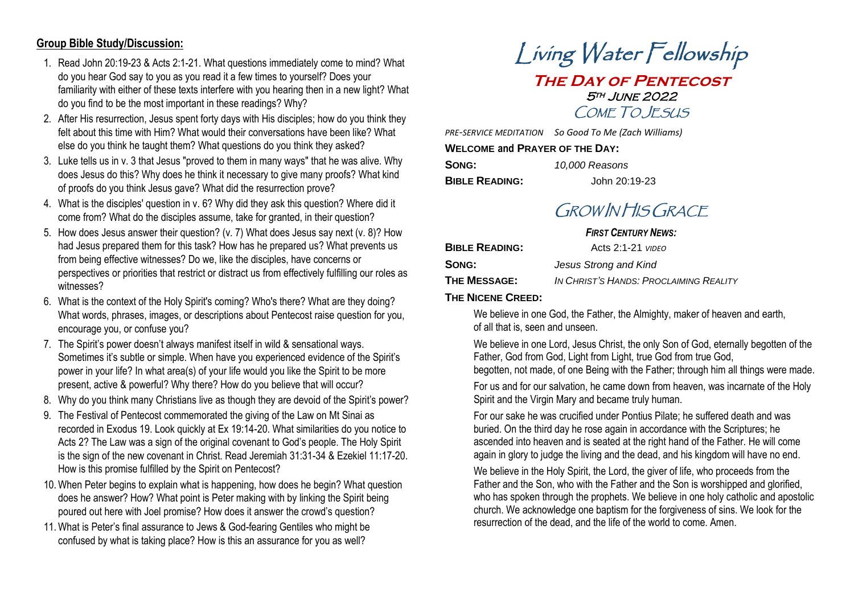## **Group Bible Study/Discussion:**

- 1. Read John 20:19-23 & Acts 2:1-21. What questions immediately come to mind? What do you hear God say to you as you read it a few times to yourself? Does your familiarity with either of these texts interfere with you hearing then in a new light? What do you find to be the most important in these readings? Why?
- 2. After His resurrection, Jesus spent forty days with His disciples; how do you think they felt about this time with Him? What would their conversations have been like? What else do you think he taught them? What questions do you think they asked?
- 3. Luke tells us in v. 3 that Jesus "proved to them in many ways" that he was alive. Why does Jesus do this? Why does he think it necessary to give many proofs? What kind of proofs do you think Jesus gave? What did the resurrection prove?
- 4. What is the disciples' question in v. 6? Why did they ask this question? Where did it come from? What do the disciples assume, take for granted, in their question?
- 5. How does Jesus answer their question? (v. 7) What does Jesus say next (v. 8)? How had Jesus prepared them for this task? How has he prepared us? What prevents us from being effective witnesses? Do we, like the disciples, have concerns or perspectives or priorities that restrict or distract us from effectively fulfilling our roles as witnesses?
- 6. What is the context of the Holy Spirit's coming? Who's there? What are they doing? What words, phrases, images, or descriptions about Pentecost raise question for you, encourage you, or confuse you?
- 7. The Spirit's power doesn't always manifest itself in wild & sensational ways. Sometimes it's subtle or simple. When have you experienced evidence of the Spirit's power in your life? In what area(s) of your life would you like the Spirit to be more present, active & powerful? Why there? How do you believe that will occur?
- 8. Why do you think many Christians live as though they are devoid of the Spirit's power?
- 9. The Festival of Pentecost commemorated the giving of the Law on Mt Sinai as recorded in Exodus 19. Look quickly at Ex 19:14-20. What similarities do you notice to Acts 2? The Law was a sign of the original covenant to God's people. The Holy Spirit is the sign of the new covenant in Christ. Read Jeremiah 31:31-34 & Ezekiel 11:17-20. How is this promise fulfilled by the Spirit on Pentecost?
- 10.When Peter begins to explain what is happening, how does he begin? What question does he answer? How? What point is Peter making with by linking the Spirit being poured out here with Joel promise? How does it answer the crowd's question?
- 11.What is Peter's final assurance to Jews & God-fearing Gentiles who might be confused by what is taking place? How is this an assurance for you as well?

# Living Water Fellowship **The Day of Pentecost** 5th June 2022 COME TO JESUS

*PRE-SERVICE MEDITATION So Good To Me (Zach Williams)*

**WELCOME and PRAYER OF THE DAY:**

| SONG:                 | 10,000 Reasons |
|-----------------------|----------------|
| <b>BIBLE READING:</b> | John 20:19-23  |

# GROW IN HIS GRACE

### *FIRST CENTURY NEWS:*

| <b>BIBLE READING:</b> | Acts $2:1-21$ $VIDEO$                  |
|-----------------------|----------------------------------------|
| Song:                 | Jesus Strong and Kind                  |
| THE MESSAGE:          | IN CHRIST'S HANDS: PROCLAIMING REALITY |

**THE NICENE CREED:**

We believe in one God, the Father, the Almighty, maker of heaven and earth, of all that is, seen and unseen.

We believe in one Lord, Jesus Christ, the only Son of God, eternally begotten of the Father, God from God, Light from Light, true God from true God, begotten, not made, of one Being with the Father; through him all things were made.

For us and for our salvation, he came down from heaven, was incarnate of the Holy Spirit and the Virgin Mary and became truly human.

For our sake he was crucified under Pontius Pilate; he suffered death and was buried. On the third day he rose again in accordance with the Scriptures; he ascended into heaven and is seated at the right hand of the Father. He will come again in glory to judge the living and the dead, and his kingdom will have no end.

We believe in the Holy Spirit, the Lord, the giver of life, who proceeds from the Father and the Son, who with the Father and the Son is worshipped and glorified, who has spoken through the prophets. We believe in one holy catholic and apostolic church. We acknowledge one baptism for the forgiveness of sins. We look for the resurrection of the dead, and the life of the world to come. Amen.